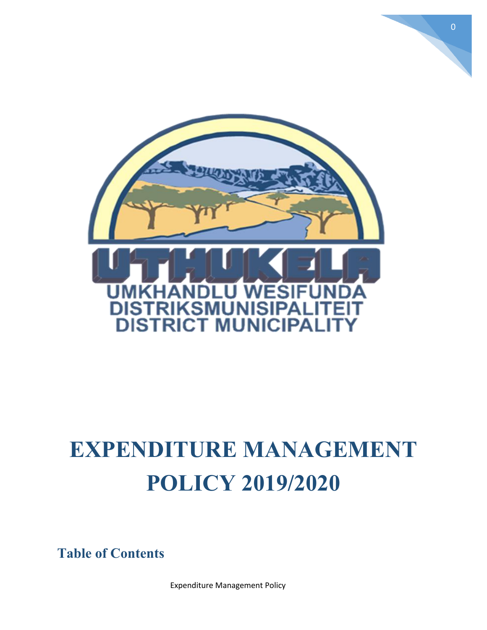

# **EXPENDITURE MANAGEMENT POLICY 2019/2020**

**Table of Contents**

Expenditure Management Policy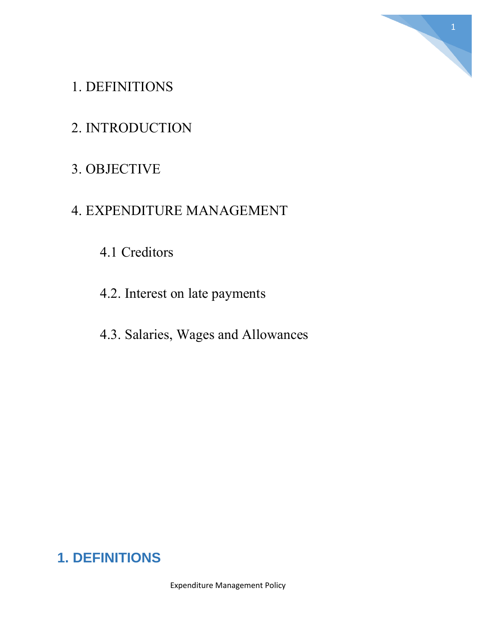

### 1. DEFINITIONS

### 2. INTRODUCTION

# 3. OBJECTIVE

#### 4. EXPENDITURE MANAGEMENT

# 4.1 Creditors

4.2. Interest on late payments

#### 4.3. Salaries, Wages and Allowances

# **1. DEFINITIONS**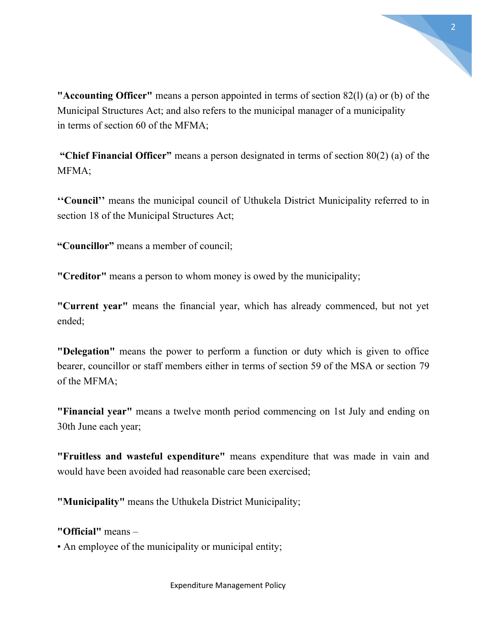

**"Accounting Officer"** means a person appointed in terms of section 82(l) (a) or (b) of the Municipal Structures Act; and also refers to the municipal manager of a municipality in terms of section 60 of the MFMA;

**"Chief Financial Officer"** means a person designated in terms of section 80(2) (a) of the MFMA;

**''Council''** means the municipal council of Uthukela District Municipality referred to in section 18 of the Municipal Structures Act;

**"Councillor"** means a member of council;

**"Creditor"** means a person to whom money is owed by the municipality;

**"Current year"** means the financial year, which has already commenced, but not yet ended;

**"Delegation"** means the power to perform a function or duty which is given to office bearer, councillor or staff members either in terms of section 59 of the MSA or section 79 of the MFMA;

**"Financial year"** means a twelve month period commencing on 1st July and ending on 30th June each year;

**"Fruitless and wasteful expenditure"** means expenditure that was made in vain and would have been avoided had reasonable care been exercised;

**"Municipality"** means the Uthukela District Municipality;

**"Official"** means –

• An employee of the municipality or municipal entity;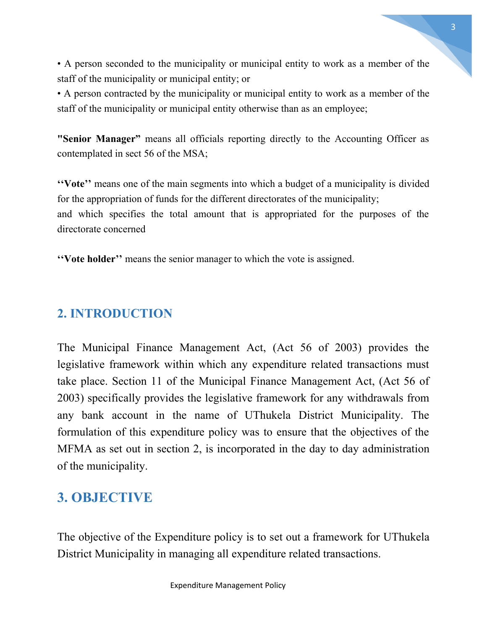• A person seconded to the municipality or municipal entity to work as a member of the staff of the municipality or municipal entity; or

• A person contracted by the municipality or municipal entity to work as a member of the staff of the municipality or municipal entity otherwise than as an employee;

**"Senior Manager"** means all officials reporting directly to the Accounting Officer as contemplated in sect 56 of the MSA;

**''Vote''** means one of the main segments into which a budget of a municipality is divided for the appropriation of funds for the different directorates of the municipality; and which specifies the total amount that is appropriated for the purposes of the directorate concerned

**''Vote holder''** means the senior manager to which the vote is assigned.

#### **2. INTRODUCTION**

The Municipal Finance Management Act, (Act 56 of 2003) provides the legislative framework within which any expenditure related transactions must take place. Section 11 of the Municipal Finance Management Act, (Act 56 of 2003) specifically provides the legislative framework for any withdrawals from any bank account in the name of UThukela District Municipality. The formulation of this expenditure policy was to ensure that the objectives of the MFMA as set out in section 2, is incorporated in the day to day administration of the municipality.

# **3. OBJECTIVE**

The objective of the Expenditure policy is to set out a framework for UThukela District Municipality in managing all expenditure related transactions.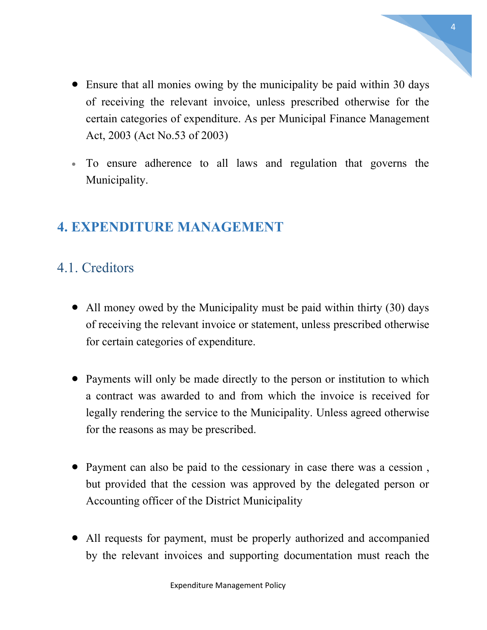- Ensure that all monies owing by the municipality be paid within 30 days of receiving the relevant invoice, unless prescribed otherwise for the certain categories of expenditure. As per Municipal Finance Management Act, 2003 (Act No.53 of 2003)
- To ensure adherence to all laws and regulation that governs the Municipality.

### **4. EXPENDITURE MANAGEMENT**

# 4.1. Creditors

- All money owed by the Municipality must be paid within thirty (30) days of receiving the relevant invoice or statement, unless prescribed otherwise for certain categories of expenditure.
- Payments will only be made directly to the person or institution to which a contract was awarded to and from which the invoice is received for legally rendering the service to the Municipality. Unless agreed otherwise for the reasons as may be prescribed.
- Payment can also be paid to the cessionary in case there was a cession, but provided that the cession was approved by the delegated person or Accounting officer of the District Municipality
- All requests for payment, must be properly authorized and accompanied by the relevant invoices and supporting documentation must reach the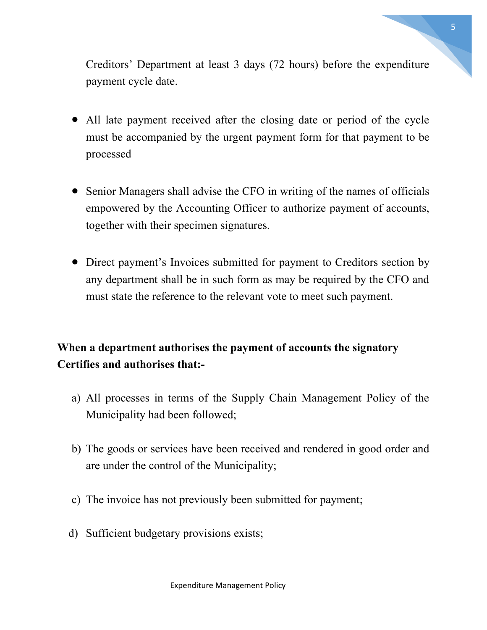Creditors' Department at least 3 days (72 hours) before the expenditure payment cycle date.

- All late payment received after the closing date or period of the cycle must be accompanied by the urgent payment form for that payment to be processed
- Senior Managers shall advise the CFO in writing of the names of officials empowered by the Accounting Officer to authorize payment of accounts, together with their specimen signatures.
- Direct payment's Invoices submitted for payment to Creditors section by any department shall be in such form as may be required by the CFO and must state the reference to the relevant vote to meet such payment.

#### **When a department authorises the payment of accounts the signatory Certifies and authorises that:-**

- a) All processes in terms of the Supply Chain Management Policy of the Municipality had been followed;
- b) The goods or services have been received and rendered in good order and are under the control of the Municipality;
- c) The invoice has not previously been submitted for payment;
- d) Sufficient budgetary provisions exists;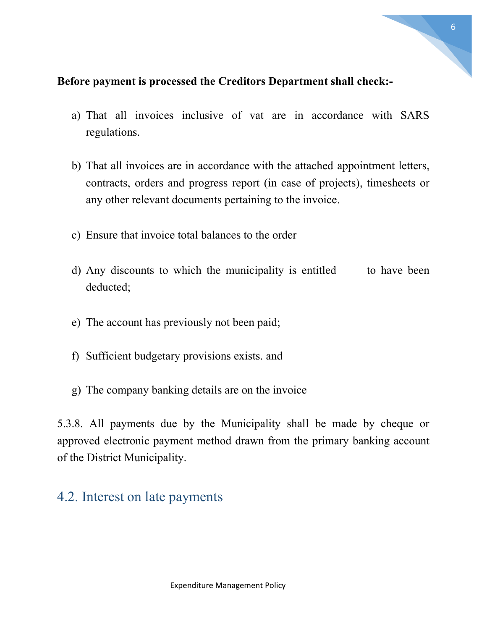

#### **Before payment is processed the Creditors Department shall check:-**

- a) That all invoices inclusive of vat are in accordance with SARS regulations.
- b) That all invoices are in accordance with the attached appointment letters, contracts, orders and progress report (in case of projects), timesheets or any other relevant documents pertaining to the invoice.
- c) Ensure that invoice total balances to the order
- d) Any discounts to which the municipality is entitled to have been deducted;
- e) The account has previously not been paid;
- f) Sufficient budgetary provisions exists. and
- g) The company banking details are on the invoice

5.3.8. All payments due by the Municipality shall be made by cheque or approved electronic payment method drawn from the primary banking account of the District Municipality.

#### 4.2. Interest on late payments